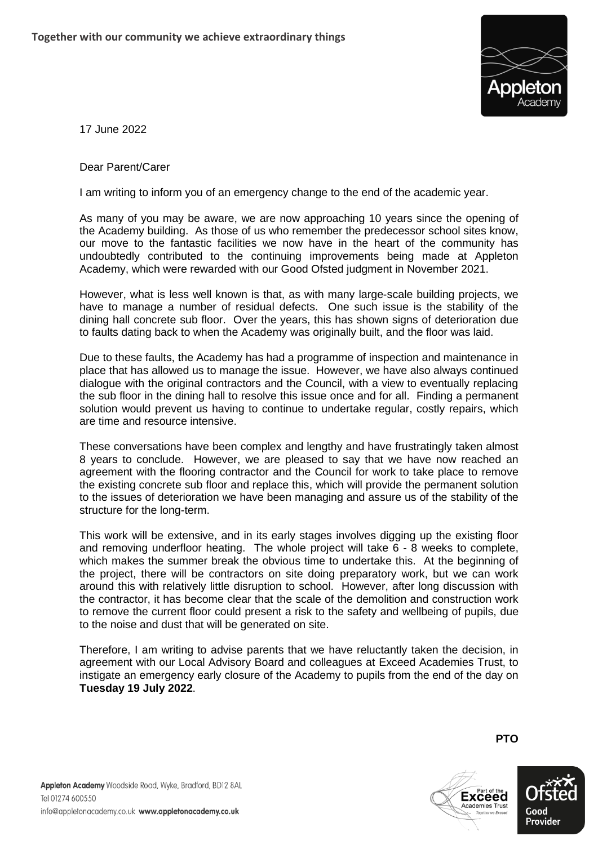

17 June 2022

Dear Parent/Carer

I am writing to inform you of an emergency change to the end of the academic year.

As many of you may be aware, we are now approaching 10 years since the opening of the Academy building. As those of us who remember the predecessor school sites know, our move to the fantastic facilities we now have in the heart of the community has undoubtedly contributed to the continuing improvements being made at Appleton Academy, which were rewarded with our Good Ofsted judgment in November 2021.

However, what is less well known is that, as with many large-scale building projects, we have to manage a number of residual defects. One such issue is the stability of the dining hall concrete sub floor. Over the years, this has shown signs of deterioration due to faults dating back to when the Academy was originally built, and the floor was laid.

Due to these faults, the Academy has had a programme of inspection and maintenance in place that has allowed us to manage the issue. However, we have also always continued dialogue with the original contractors and the Council, with a view to eventually replacing the sub floor in the dining hall to resolve this issue once and for all. Finding a permanent solution would prevent us having to continue to undertake regular, costly repairs, which are time and resource intensive.

These conversations have been complex and lengthy and have frustratingly taken almost 8 years to conclude. However, we are pleased to say that we have now reached an agreement with the flooring contractor and the Council for work to take place to remove the existing concrete sub floor and replace this, which will provide the permanent solution to the issues of deterioration we have been managing and assure us of the stability of the structure for the long-term.

This work will be extensive, and in its early stages involves digging up the existing floor and removing underfloor heating. The whole project will take 6 - 8 weeks to complete, which makes the summer break the obvious time to undertake this. At the beginning of the project, there will be contractors on site doing preparatory work, but we can work around this with relatively little disruption to school. However, after long discussion with the contractor, it has become clear that the scale of the demolition and construction work to remove the current floor could present a risk to the safety and wellbeing of pupils, due to the noise and dust that will be generated on site.

Therefore, I am writing to advise parents that we have reluctantly taken the decision, in agreement with our Local Advisory Board and colleagues at Exceed Academies Trust, to instigate an emergency early closure of the Academy to pupils from the end of the day on **Tuesday 19 July 2022**.

**PTO**